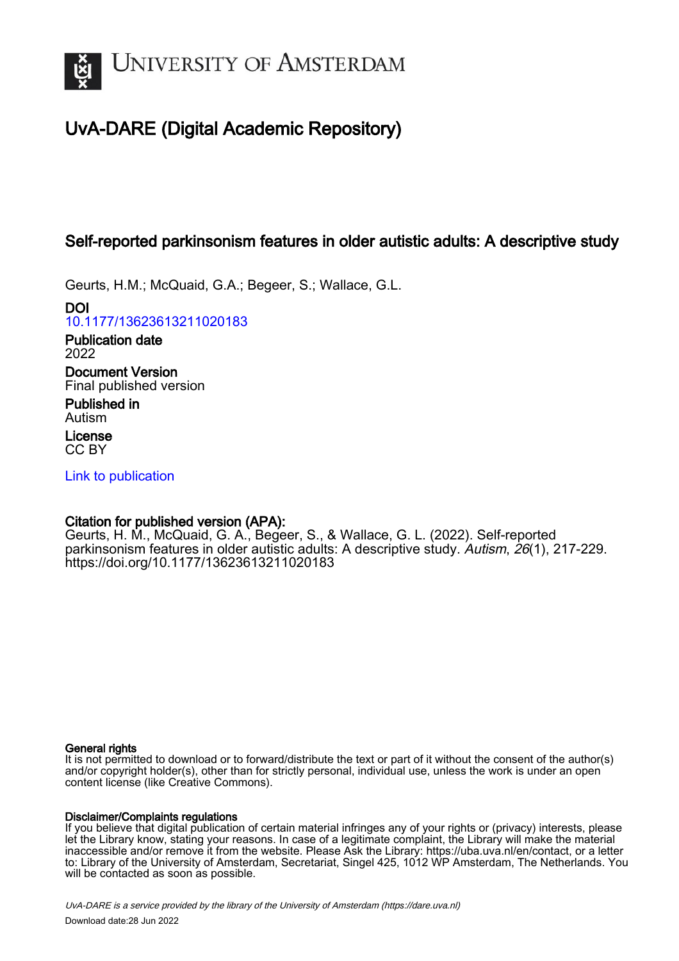

# UvA-DARE (Digital Academic Repository)

# Self-reported parkinsonism features in older autistic adults: A descriptive study

Geurts, H.M.; McQuaid, G.A.; Begeer, S.; Wallace, G.L.

DOI [10.1177/13623613211020183](https://doi.org/10.1177/13623613211020183)

Publication date 2022 Document Version Final published version

Published in Autism

License CC BY

[Link to publication](https://dare.uva.nl/personal/pure/en/publications/selfreported-parkinsonism-features-in-older-autistic-adults-a-descriptive-study(6f5a0c21-fbbd-4c8c-b07e-06026ed2d1bc).html)

# Citation for published version (APA):

Geurts, H. M., McQuaid, G. A., Begeer, S., & Wallace, G. L. (2022). Self-reported parkinsonism features in older autistic adults: A descriptive study. Autism, 26(1), 217-229. <https://doi.org/10.1177/13623613211020183>

# General rights

It is not permitted to download or to forward/distribute the text or part of it without the consent of the author(s) and/or copyright holder(s), other than for strictly personal, individual use, unless the work is under an open content license (like Creative Commons).

# Disclaimer/Complaints regulations

If you believe that digital publication of certain material infringes any of your rights or (privacy) interests, please let the Library know, stating your reasons. In case of a legitimate complaint, the Library will make the material inaccessible and/or remove it from the website. Please Ask the Library: https://uba.uva.nl/en/contact, or a letter to: Library of the University of Amsterdam, Secretariat, Singel 425, 1012 WP Amsterdam, The Netherlands. You will be contacted as soon as possible.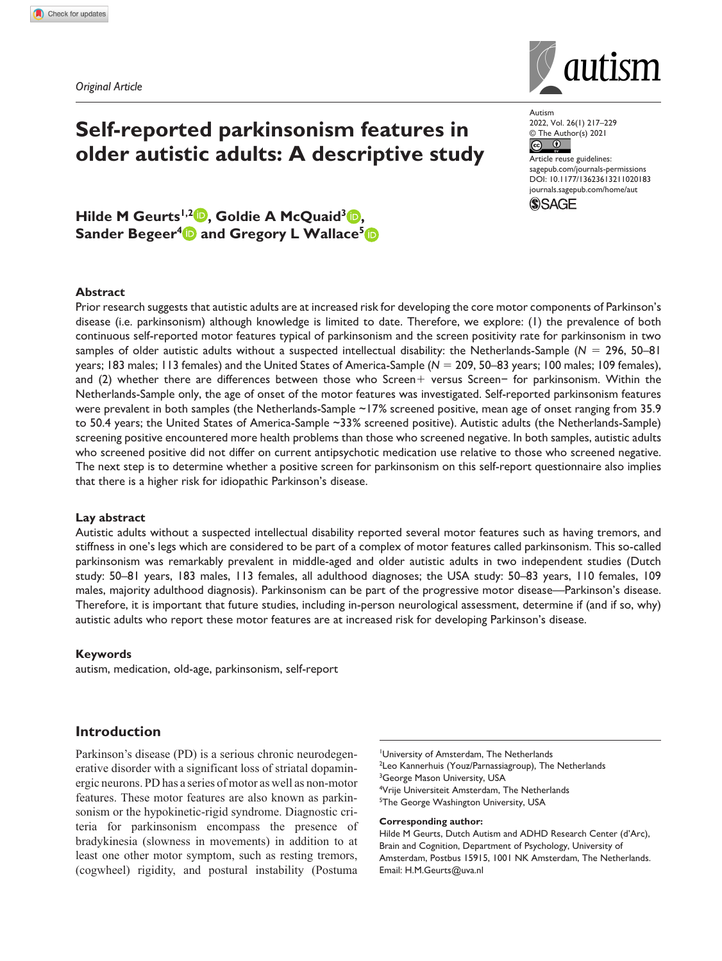*Original Article*



Autism 2022, Vol. 26(1) 217–229  $\circledcirc$  The Author(s) 2021

Article reuse guidelines: [sagepub.com/journals-permissions](https://uk.sagepub.com/en-gb/journals-permissions) DOI: 10.1177/13623613211020183 [journals.sagepub.com/home/aut](https://journals.sagepub.com/home/aut) **SSAGE** 

Hilde M Geurts<sup>1,2</sup> **, Goldie A McQuaid**<sup>3</sup> **(b)**, **Sander Begeer<sup>4</sup> and Gregory L Wallace<sup>5</sup>** 

**Self-reported parkinsonism features in** 

**older autistic adults: A descriptive study**

#### **Abstract**

Prior research suggests that autistic adults are at increased risk for developing the core motor components of Parkinson's disease (i.e. parkinsonism) although knowledge is limited to date. Therefore, we explore: (1) the prevalence of both continuous self-reported motor features typical of parkinsonism and the screen positivity rate for parkinsonism in two samples of older autistic adults without a suspected intellectual disability: the Netherlands-Sample (*N* = 296, 50–81 years; 183 males; 113 females) and the United States of America-Sample (*N* = 209, 50–83 years; 100 males; 109 females), and (2) whether there are differences between those who Screen+ versus Screen− for parkinsonism. Within the Netherlands-Sample only, the age of onset of the motor features was investigated. Self-reported parkinsonism features were prevalent in both samples (the Netherlands-Sample ~17% screened positive, mean age of onset ranging from 35.9 to 50.4 years; the United States of America-Sample ~33% screened positive). Autistic adults (the Netherlands-Sample) screening positive encountered more health problems than those who screened negative. In both samples, autistic adults who screened positive did not differ on current antipsychotic medication use relative to those who screened negative. The next step is to determine whether a positive screen for parkinsonism on this self-report questionnaire also implies that there is a higher risk for idiopathic Parkinson's disease.

#### **Lay abstract**

Autistic adults without a suspected intellectual disability reported several motor features such as having tremors, and stiffness in one's legs which are considered to be part of a complex of motor features called parkinsonism. This so-called parkinsonism was remarkably prevalent in middle-aged and older autistic adults in two independent studies (Dutch study: 50–81 years, 183 males, 113 females, all adulthood diagnoses; the USA study: 50–83 years, 110 females, 109 males, majority adulthood diagnosis). Parkinsonism can be part of the progressive motor disease—Parkinson's disease. Therefore, it is important that future studies, including in-person neurological assessment, determine if (and if so, why) autistic adults who report these motor features are at increased risk for developing Parkinson's disease.

#### **Keywords**

autism, medication, old-age, parkinsonism, self-report

# **Introduction**

Parkinson's disease (PD) is a serious chronic neurodegenerative disorder with a significant loss of striatal dopaminergic neurons. PD has a series of motor as well as non-motor features. These motor features are also known as parkinsonism or the hypokinetic-rigid syndrome. Diagnostic criteria for parkinsonism encompass the presence of bradykinesia (slowness in movements) in addition to at least one other motor symptom, such as resting tremors, (cogwheel) rigidity, and postural instability (Postuma

1 University of Amsterdam, The Netherlands <sup>2</sup>Leo Kannerhuis (Youz/Parnassiagroup), The Netherlands <sup>3</sup>George Mason University, USA 4 Vrije Universiteit Amsterdam, The Netherlands 5 The George Washington University, USA

#### **Corresponding author:**

Hilde M Geurts, Dutch Autism and ADHD Research Center (d'Arc), Brain and Cognition, Department of Psychology, University of Amsterdam, Postbus 15915, 1001 NK Amsterdam, The Netherlands. Email: [H.M.Geurts@uva.nl](mailto:H.M.Geurts@uva.nl)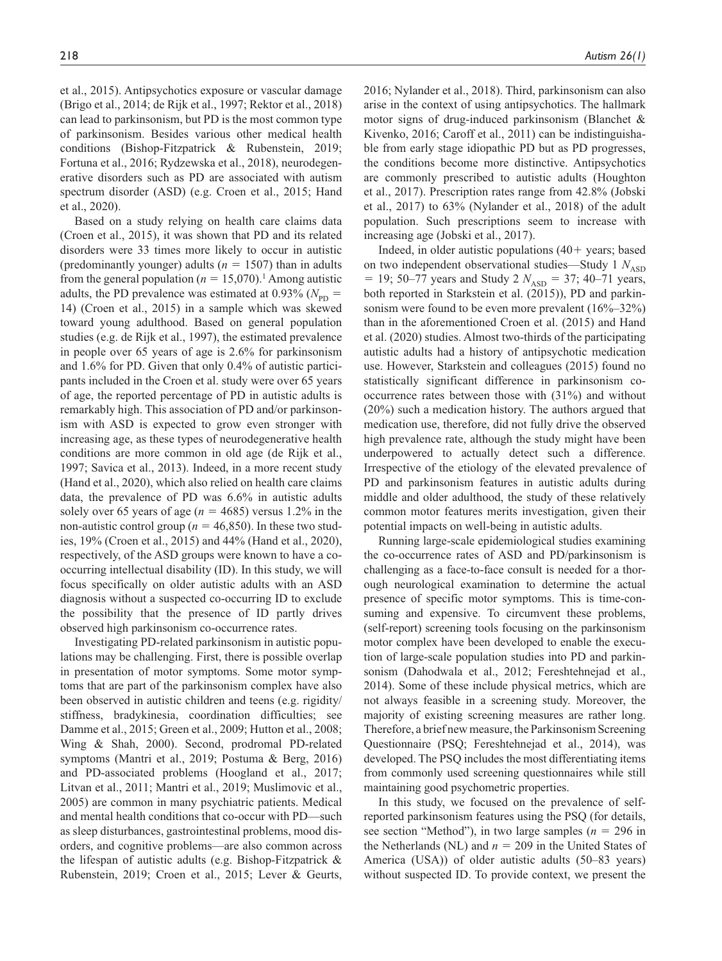et al., 2015). Antipsychotics exposure or vascular damage (Brigo et al., 2014; de Rijk et al., 1997; Rektor et al., 2018) can lead to parkinsonism, but PD is the most common type of parkinsonism. Besides various other medical health conditions (Bishop-Fitzpatrick & Rubenstein, 2019; Fortuna et al., 2016; Rydzewska et al., 2018), neurodegenerative disorders such as PD are associated with autism spectrum disorder (ASD) (e.g. Croen et al., 2015; Hand et al., 2020).

Based on a study relying on health care claims data (Croen et al., 2015), it was shown that PD and its related disorders were 33 times more likely to occur in autistic (predominantly younger) adults  $(n = 1507)$  than in adults from the general population ( $n = 15,070$ ).<sup>1</sup> Among autistic adults, the PD prevalence was estimated at  $0.93\%$  ( $N_{\text{pp}}$  = 14) (Croen et al., 2015) in a sample which was skewed toward young adulthood. Based on general population studies (e.g. de Rijk et al., 1997), the estimated prevalence in people over 65 years of age is 2.6% for parkinsonism and 1.6% for PD. Given that only 0.4% of autistic participants included in the Croen et al. study were over 65 years of age, the reported percentage of PD in autistic adults is remarkably high. This association of PD and/or parkinsonism with ASD is expected to grow even stronger with increasing age, as these types of neurodegenerative health conditions are more common in old age (de Rijk et al., 1997; Savica et al., 2013). Indeed, in a more recent study (Hand et al., 2020), which also relied on health care claims data, the prevalence of PD was 6.6% in autistic adults solely over 65 years of age ( $n = 4685$ ) versus 1.2% in the non-autistic control group ( $n = 46,850$ ). In these two studies, 19% (Croen et al., 2015) and 44% (Hand et al., 2020), respectively, of the ASD groups were known to have a cooccurring intellectual disability (ID). In this study, we will focus specifically on older autistic adults with an ASD diagnosis without a suspected co-occurring ID to exclude the possibility that the presence of ID partly drives observed high parkinsonism co-occurrence rates.

Investigating PD-related parkinsonism in autistic populations may be challenging. First, there is possible overlap in presentation of motor symptoms. Some motor symptoms that are part of the parkinsonism complex have also been observed in autistic children and teens (e.g. rigidity/ stiffness, bradykinesia, coordination difficulties; see Damme et al., 2015; Green et al., 2009; Hutton et al., 2008; Wing & Shah, 2000). Second, prodromal PD-related symptoms (Mantri et al., 2019; Postuma & Berg, 2016) and PD-associated problems (Hoogland et al., 2017; Litvan et al., 2011; Mantri et al., 2019; Muslimovic et al., 2005) are common in many psychiatric patients. Medical and mental health conditions that co-occur with PD—such as sleep disturbances, gastrointestinal problems, mood disorders, and cognitive problems—are also common across the lifespan of autistic adults (e.g. Bishop-Fitzpatrick & Rubenstein, 2019; Croen et al., 2015; Lever & Geurts,

2016; Nylander et al., 2018). Third, parkinsonism can also arise in the context of using antipsychotics. The hallmark motor signs of drug-induced parkinsonism (Blanchet & Kivenko, 2016; Caroff et al., 2011) can be indistinguishable from early stage idiopathic PD but as PD progresses, the conditions become more distinctive. Antipsychotics are commonly prescribed to autistic adults (Houghton et al., 2017). Prescription rates range from 42.8% (Jobski et al., 2017) to 63% (Nylander et al., 2018) of the adult population. Such prescriptions seem to increase with increasing age (Jobski et al., 2017).

Indeed, in older autistic populations  $(40+)$  years; based on two independent observational studies—Study 1  $N<sub>ASD</sub>$  $= 19$ ; 50–77 years and Study 2  $N_{\rm ASD} = 37$ ; 40–71 years, both reported in Starkstein et al. (2015)), PD and parkinsonism were found to be even more prevalent  $(16\%-32\%)$ than in the aforementioned Croen et al. (2015) and Hand et al. (2020) studies. Almost two-thirds of the participating autistic adults had a history of antipsychotic medication use. However, Starkstein and colleagues (2015) found no statistically significant difference in parkinsonism cooccurrence rates between those with (31%) and without (20%) such a medication history. The authors argued that medication use, therefore, did not fully drive the observed high prevalence rate, although the study might have been underpowered to actually detect such a difference. Irrespective of the etiology of the elevated prevalence of PD and parkinsonism features in autistic adults during middle and older adulthood, the study of these relatively common motor features merits investigation, given their potential impacts on well-being in autistic adults.

Running large-scale epidemiological studies examining the co-occurrence rates of ASD and PD/parkinsonism is challenging as a face-to-face consult is needed for a thorough neurological examination to determine the actual presence of specific motor symptoms. This is time-consuming and expensive. To circumvent these problems, (self-report) screening tools focusing on the parkinsonism motor complex have been developed to enable the execution of large-scale population studies into PD and parkinsonism (Dahodwala et al., 2012; Fereshtehnejad et al., 2014). Some of these include physical metrics, which are not always feasible in a screening study. Moreover, the majority of existing screening measures are rather long. Therefore, a brief new measure, the Parkinsonism Screening Questionnaire (PSQ; Fereshtehnejad et al., 2014), was developed. The PSQ includes the most differentiating items from commonly used screening questionnaires while still maintaining good psychometric properties.

In this study, we focused on the prevalence of selfreported parkinsonism features using the PSQ (for details, see section "Method"), in two large samples ( $n = 296$  in the Netherlands (NL) and  $n = 209$  in the United States of America (USA)) of older autistic adults (50–83 years) without suspected ID. To provide context, we present the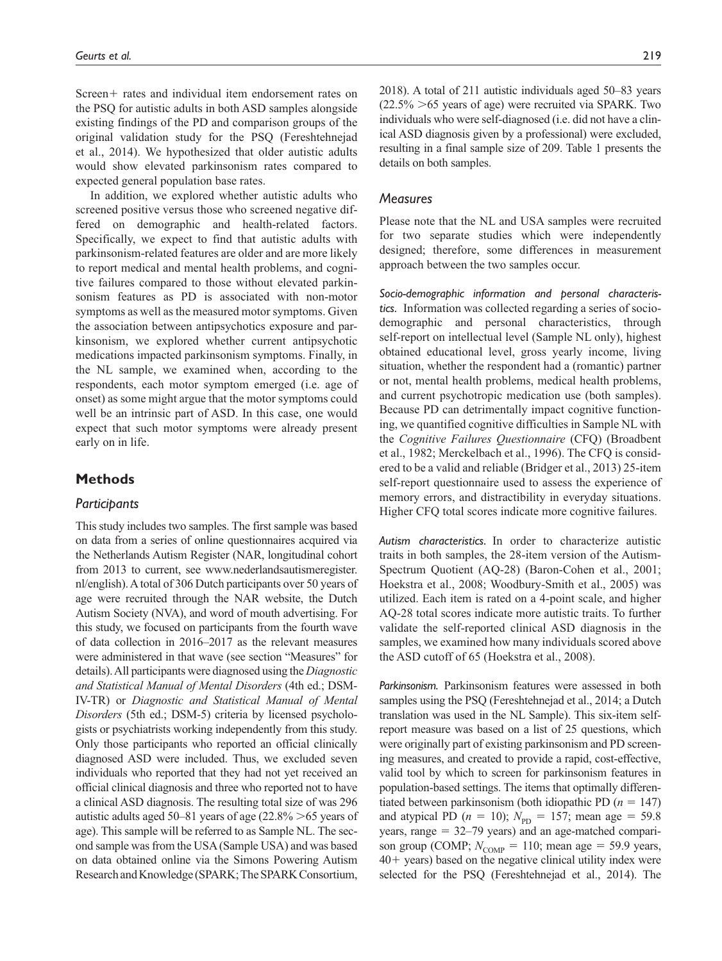Screen+ rates and individual item endorsement rates on the PSQ for autistic adults in both ASD samples alongside existing findings of the PD and comparison groups of the original validation study for the PSQ (Fereshtehnejad et al., 2014). We hypothesized that older autistic adults would show elevated parkinsonism rates compared to expected general population base rates.

In addition, we explored whether autistic adults who screened positive versus those who screened negative differed on demographic and health-related factors. Specifically, we expect to find that autistic adults with parkinsonism-related features are older and are more likely to report medical and mental health problems, and cognitive failures compared to those without elevated parkinsonism features as PD is associated with non-motor symptoms as well as the measured motor symptoms. Given the association between antipsychotics exposure and parkinsonism, we explored whether current antipsychotic medications impacted parkinsonism symptoms. Finally, in the NL sample, we examined when, according to the respondents, each motor symptom emerged (i.e. age of onset) as some might argue that the motor symptoms could well be an intrinsic part of ASD. In this case, one would expect that such motor symptoms were already present early on in life.

## **Methods**

### *Participants*

This study includes two samples. The first sample was based on data from a series of online questionnaires acquired via the Netherlands Autism Register (NAR, longitudinal cohort from 2013 to current, see [www.nederlandsautismeregister.](www.nederlandsautismeregister.nl/english) [nl/english](www.nederlandsautismeregister.nl/english)). A total of 306 Dutch participants over 50 years of age were recruited through the NAR website, the Dutch Autism Society (NVA), and word of mouth advertising. For this study, we focused on participants from the fourth wave of data collection in 2016–2017 as the relevant measures were administered in that wave (see section "Measures" for details). All participants were diagnosed using the *Diagnostic and Statistical Manual of Mental Disorders* (4th ed.; DSM-IV-TR) or *Diagnostic and Statistical Manual of Mental Disorders* (5th ed.; DSM-5) criteria by licensed psychologists or psychiatrists working independently from this study. Only those participants who reported an official clinically diagnosed ASD were included. Thus, we excluded seven individuals who reported that they had not yet received an official clinical diagnosis and three who reported not to have a clinical ASD diagnosis. The resulting total size of was 296 autistic adults aged 50–81 years of age  $(22.8\% > 65$  years of age). This sample will be referred to as Sample NL. The second sample was from the USA (Sample USA) and was based on data obtained online via the Simons Powering Autism Research and Knowledge (SPARK; The SPARK Consortium,

2018). A total of 211 autistic individuals aged 50–83 years  $(22.5\% > 65$  years of age) were recruited via SPARK. Two individuals who were self-diagnosed (i.e. did not have a clinical ASD diagnosis given by a professional) were excluded, resulting in a final sample size of 209. Table 1 presents the details on both samples.

## *Measures*

Please note that the NL and USA samples were recruited for two separate studies which were independently designed; therefore, some differences in measurement approach between the two samples occur.

*Socio-demographic information and personal characteristics.* Information was collected regarding a series of sociodemographic and personal characteristics, through self-report on intellectual level (Sample NL only), highest obtained educational level, gross yearly income, living situation, whether the respondent had a (romantic) partner or not, mental health problems, medical health problems, and current psychotropic medication use (both samples). Because PD can detrimentally impact cognitive functioning, we quantified cognitive difficulties in Sample NL with the *Cognitive Failures Questionnaire* (CFQ) (Broadbent et al., 1982; Merckelbach et al., 1996). The CFQ is considered to be a valid and reliable (Bridger et al., 2013) 25-item self-report questionnaire used to assess the experience of memory errors, and distractibility in everyday situations. Higher CFQ total scores indicate more cognitive failures.

*Autism characteristics.* In order to characterize autistic traits in both samples, the 28-item version of the Autism-Spectrum Quotient (AQ-28) (Baron-Cohen et al., 2001; Hoekstra et al., 2008; Woodbury-Smith et al., 2005) was utilized. Each item is rated on a 4-point scale, and higher AQ-28 total scores indicate more autistic traits. To further validate the self-reported clinical ASD diagnosis in the samples, we examined how many individuals scored above the ASD cutoff of 65 (Hoekstra et al., 2008).

*Parkinsonism.* Parkinsonism features were assessed in both samples using the PSQ (Fereshtehnejad et al., 2014; a Dutch translation was used in the NL Sample). This six-item selfreport measure was based on a list of 25 questions, which were originally part of existing parkinsonism and PD screening measures, and created to provide a rapid, cost-effective, valid tool by which to screen for parkinsonism features in population-based settings. The items that optimally differentiated between parkinsonism (both idiopathic PD  $(n = 147)$ ) and atypical PD ( $n = 10$ );  $N_{\text{PD}} = 157$ ; mean age = 59.8 years, range = 32–79 years) and an age-matched comparison group (COMP;  $N_{\text{COMP}} = 110$ ; mean age = 59.9 years, 40+ years) based on the negative clinical utility index were selected for the PSQ (Fereshtehnejad et al., 2014). The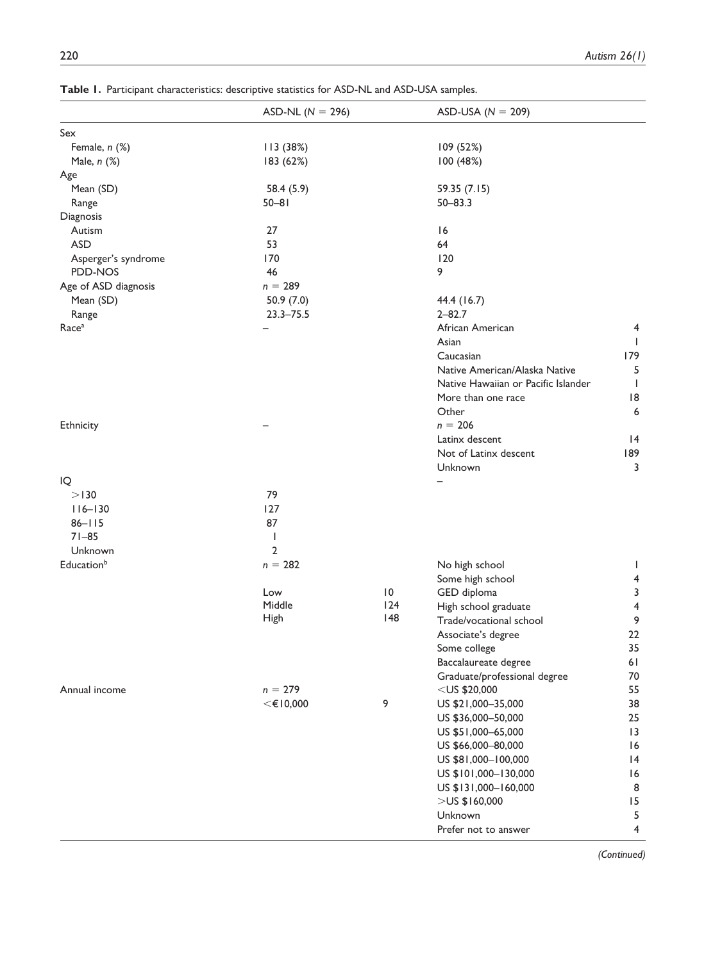|                               | ASD-NL ( $N = 296$ ) |                 | ASD-USA ( $N = 209$ )               |                 |
|-------------------------------|----------------------|-----------------|-------------------------------------|-----------------|
| Sex                           |                      |                 |                                     |                 |
| Female, n (%)                 | 113 (38%)            |                 | 109 (52%)                           |                 |
| Male, n (%)                   | 183 (62%)            |                 | 100 (48%)                           |                 |
| Age                           |                      |                 |                                     |                 |
| Mean (SD)                     | 58.4 (5.9)           |                 | 59.35 (7.15)                        |                 |
| Range                         | $50 - 81$            |                 | $50 - 83.3$                         |                 |
| Diagnosis                     |                      |                 |                                     |                 |
| Autism                        | 27                   |                 | 16                                  |                 |
| <b>ASD</b>                    | 53                   |                 | 64                                  |                 |
| Asperger's syndrome           | 170                  |                 | 120                                 |                 |
| PDD-NOS                       | 46                   |                 | 9                                   |                 |
| Age of ASD diagnosis          | $n = 289$            |                 |                                     |                 |
| Mean (SD)                     | 50.9(7.0)            |                 | 44.4 (16.7)                         |                 |
| Range                         | $23.3 - 75.5$        |                 | $2 - 82.7$                          |                 |
| Race <sup>a</sup>             |                      |                 | African American                    | 4               |
|                               |                      |                 | Asian                               | I.              |
|                               |                      |                 | Caucasian                           | 179             |
|                               |                      |                 | Native American/Alaska Native       | 5               |
|                               |                      |                 | Native Hawaiian or Pacific Islander | $\mathbf{I}$    |
|                               |                      |                 | More than one race                  | 18              |
|                               |                      |                 | Other                               | 6               |
| Ethnicity                     |                      |                 | $n = 206$                           |                 |
|                               |                      |                 | Latinx descent                      | 4               |
|                               |                      |                 | Not of Latinx descent               | 189             |
|                               |                      |                 | Unknown                             | 3               |
| IQ                            |                      |                 |                                     |                 |
| >130                          | 79                   |                 |                                     |                 |
| $116 - 130$                   | 127                  |                 |                                     |                 |
| $86 - 115$                    | 87                   |                 |                                     |                 |
| $71 - 85$                     | $\mathsf{l}$         |                 |                                     |                 |
| Unknown                       | $\overline{2}$       |                 |                                     |                 |
| <b>Education</b> <sup>b</sup> | $n = 282$            |                 | No high school                      | J.              |
|                               |                      |                 | Some high school                    | 4               |
|                               | Low                  | $\overline{10}$ | GED diploma                         | 3               |
|                               | Middle               | 124             | High school graduate                | 4               |
|                               | High                 | 148             | Trade/vocational school             | 9               |
|                               |                      |                 | Associate's degree                  | 22              |
|                               |                      |                 | Some college                        | 35              |
|                               |                      |                 | Baccalaureate degree                | 61              |
|                               |                      |                 | Graduate/professional degree        | 70              |
| Annual income                 | $n = 279$            |                 | $<$ US \$20,000                     | 55              |
|                               | $<$ $\in$ 10,000     | 9               | US \$21,000-35,000                  | 38              |
|                               |                      |                 | US \$36,000-50,000                  | 25              |
|                               |                      |                 | US \$51,000-65,000                  | $\overline{13}$ |
|                               |                      |                 | US \$66,000-80,000                  | 16              |
|                               |                      |                 | US \$81,000-100,000                 | 4               |
|                               |                      |                 | US \$101,000-130,000                | 16              |
|                               |                      |                 | US \$131,000-160,000                | 8               |
|                               |                      |                 | $>$ US\$160,000                     | 15              |
|                               |                      |                 | Unknown                             | 5               |
|                               |                      |                 | Prefer not to answer                | 4               |
|                               |                      |                 |                                     |                 |

**Table 1.** Participant characteristics: descriptive statistics for ASD-NL and ASD-USA samples.

 *(Continued)*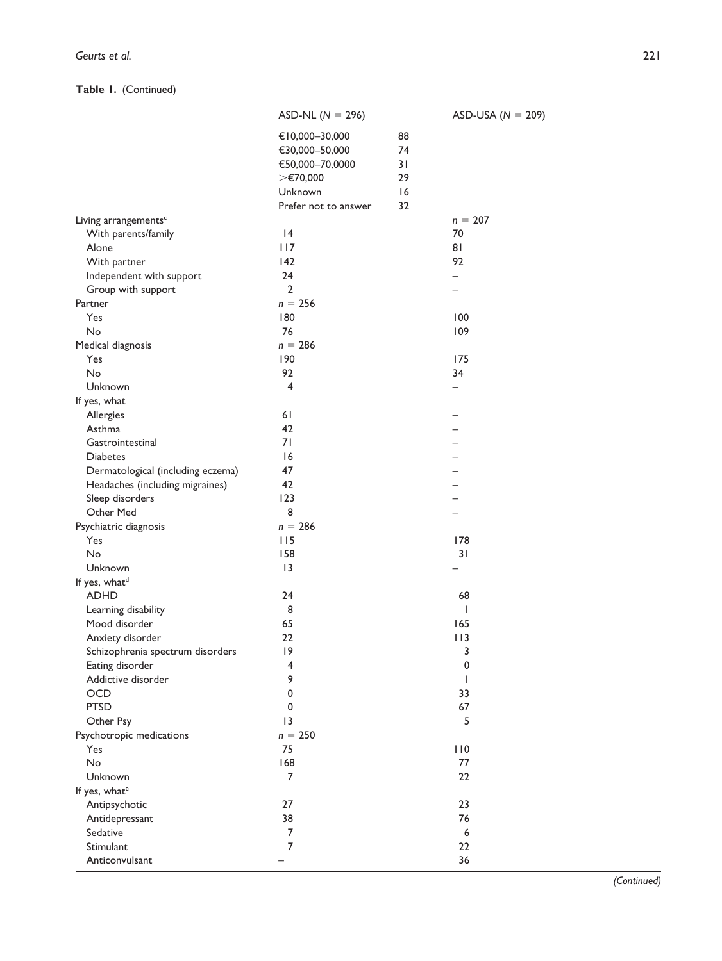# **Table 1.** (Continued)

| €10,000-30,000<br>88<br>€30,000-50,000<br>74<br>€50,000-70,0000<br>31<br>>€70,000<br>29<br>Unknown<br> 6<br>Prefer not to answer<br>32<br>$n = 207$<br>Living arrangements <sup>c</sup><br>With parents/family<br> 4<br>70<br>117<br>81<br>Alone<br>92<br>With partner<br>142<br>24<br>Independent with support<br>$\overline{2}$<br>Group with support<br>$\overline{\phantom{0}}$<br>$n = 256$<br>180<br>100<br>Yes<br>76<br><b>No</b><br>109<br>$n = 286$<br>Medical diagnosis<br>190<br>175<br>Yes<br><b>No</b><br>92<br>34<br>$\overline{4}$<br>Unknown<br>$\overline{\phantom{0}}$<br>If yes, what<br>61<br>Allergies<br>Asthma<br>42<br>Gastrointestinal<br>71<br>16<br><b>Diabetes</b><br>47<br>Dermatological (including eczema)<br>42<br>Headaches (including migraines)<br>Sleep disorders<br>123<br>8<br>Other Med<br>$n = 286$<br>Psychiatric diagnosis<br>178<br>Yes<br>115<br><b>No</b><br>158<br>31<br> 3<br>Unknown<br><b>ADHD</b><br>24<br>68<br>8<br>Learning disability<br>I<br>65<br>165<br>Mood disorder<br>22<br>113<br>Anxiety disorder<br>Schizophrenia spectrum disorders<br> 9<br>3<br>0<br>Eating disorder<br>4<br>9<br>Addictive disorder<br>OCD<br>$\mathbf 0$<br>33<br><b>PTSD</b><br>67<br>0<br>5<br> 3<br>Other Psy<br>$n = 250$<br>75<br>110<br>Yes<br>No<br>168<br>77<br>$\overline{7}$<br>22<br>Unknown<br>If yes, what <sup>e</sup><br>23<br>27<br>Antipsychotic<br>38<br>76<br>Antidepressant<br>7<br>Sedative<br>6<br>7<br>Stimulant<br>22<br>Anticonvulsant<br>36 |                           | ASD-NL ( $N = 296$ ) | ASD-USA ( $N = 209$ ) |  |
|-----------------------------------------------------------------------------------------------------------------------------------------------------------------------------------------------------------------------------------------------------------------------------------------------------------------------------------------------------------------------------------------------------------------------------------------------------------------------------------------------------------------------------------------------------------------------------------------------------------------------------------------------------------------------------------------------------------------------------------------------------------------------------------------------------------------------------------------------------------------------------------------------------------------------------------------------------------------------------------------------------------------------------------------------------------------------------------------------------------------------------------------------------------------------------------------------------------------------------------------------------------------------------------------------------------------------------------------------------------------------------------------------------------------------------------------------------------------------------------------------------------|---------------------------|----------------------|-----------------------|--|
|                                                                                                                                                                                                                                                                                                                                                                                                                                                                                                                                                                                                                                                                                                                                                                                                                                                                                                                                                                                                                                                                                                                                                                                                                                                                                                                                                                                                                                                                                                           |                           |                      |                       |  |
|                                                                                                                                                                                                                                                                                                                                                                                                                                                                                                                                                                                                                                                                                                                                                                                                                                                                                                                                                                                                                                                                                                                                                                                                                                                                                                                                                                                                                                                                                                           |                           |                      |                       |  |
|                                                                                                                                                                                                                                                                                                                                                                                                                                                                                                                                                                                                                                                                                                                                                                                                                                                                                                                                                                                                                                                                                                                                                                                                                                                                                                                                                                                                                                                                                                           |                           |                      |                       |  |
|                                                                                                                                                                                                                                                                                                                                                                                                                                                                                                                                                                                                                                                                                                                                                                                                                                                                                                                                                                                                                                                                                                                                                                                                                                                                                                                                                                                                                                                                                                           |                           |                      |                       |  |
|                                                                                                                                                                                                                                                                                                                                                                                                                                                                                                                                                                                                                                                                                                                                                                                                                                                                                                                                                                                                                                                                                                                                                                                                                                                                                                                                                                                                                                                                                                           |                           |                      |                       |  |
|                                                                                                                                                                                                                                                                                                                                                                                                                                                                                                                                                                                                                                                                                                                                                                                                                                                                                                                                                                                                                                                                                                                                                                                                                                                                                                                                                                                                                                                                                                           |                           |                      |                       |  |
|                                                                                                                                                                                                                                                                                                                                                                                                                                                                                                                                                                                                                                                                                                                                                                                                                                                                                                                                                                                                                                                                                                                                                                                                                                                                                                                                                                                                                                                                                                           |                           |                      |                       |  |
|                                                                                                                                                                                                                                                                                                                                                                                                                                                                                                                                                                                                                                                                                                                                                                                                                                                                                                                                                                                                                                                                                                                                                                                                                                                                                                                                                                                                                                                                                                           |                           |                      |                       |  |
|                                                                                                                                                                                                                                                                                                                                                                                                                                                                                                                                                                                                                                                                                                                                                                                                                                                                                                                                                                                                                                                                                                                                                                                                                                                                                                                                                                                                                                                                                                           |                           |                      |                       |  |
|                                                                                                                                                                                                                                                                                                                                                                                                                                                                                                                                                                                                                                                                                                                                                                                                                                                                                                                                                                                                                                                                                                                                                                                                                                                                                                                                                                                                                                                                                                           |                           |                      |                       |  |
|                                                                                                                                                                                                                                                                                                                                                                                                                                                                                                                                                                                                                                                                                                                                                                                                                                                                                                                                                                                                                                                                                                                                                                                                                                                                                                                                                                                                                                                                                                           |                           |                      |                       |  |
|                                                                                                                                                                                                                                                                                                                                                                                                                                                                                                                                                                                                                                                                                                                                                                                                                                                                                                                                                                                                                                                                                                                                                                                                                                                                                                                                                                                                                                                                                                           |                           |                      |                       |  |
|                                                                                                                                                                                                                                                                                                                                                                                                                                                                                                                                                                                                                                                                                                                                                                                                                                                                                                                                                                                                                                                                                                                                                                                                                                                                                                                                                                                                                                                                                                           | Partner                   |                      |                       |  |
|                                                                                                                                                                                                                                                                                                                                                                                                                                                                                                                                                                                                                                                                                                                                                                                                                                                                                                                                                                                                                                                                                                                                                                                                                                                                                                                                                                                                                                                                                                           |                           |                      |                       |  |
|                                                                                                                                                                                                                                                                                                                                                                                                                                                                                                                                                                                                                                                                                                                                                                                                                                                                                                                                                                                                                                                                                                                                                                                                                                                                                                                                                                                                                                                                                                           |                           |                      |                       |  |
|                                                                                                                                                                                                                                                                                                                                                                                                                                                                                                                                                                                                                                                                                                                                                                                                                                                                                                                                                                                                                                                                                                                                                                                                                                                                                                                                                                                                                                                                                                           |                           |                      |                       |  |
|                                                                                                                                                                                                                                                                                                                                                                                                                                                                                                                                                                                                                                                                                                                                                                                                                                                                                                                                                                                                                                                                                                                                                                                                                                                                                                                                                                                                                                                                                                           |                           |                      |                       |  |
|                                                                                                                                                                                                                                                                                                                                                                                                                                                                                                                                                                                                                                                                                                                                                                                                                                                                                                                                                                                                                                                                                                                                                                                                                                                                                                                                                                                                                                                                                                           |                           |                      |                       |  |
|                                                                                                                                                                                                                                                                                                                                                                                                                                                                                                                                                                                                                                                                                                                                                                                                                                                                                                                                                                                                                                                                                                                                                                                                                                                                                                                                                                                                                                                                                                           |                           |                      |                       |  |
|                                                                                                                                                                                                                                                                                                                                                                                                                                                                                                                                                                                                                                                                                                                                                                                                                                                                                                                                                                                                                                                                                                                                                                                                                                                                                                                                                                                                                                                                                                           |                           |                      |                       |  |
|                                                                                                                                                                                                                                                                                                                                                                                                                                                                                                                                                                                                                                                                                                                                                                                                                                                                                                                                                                                                                                                                                                                                                                                                                                                                                                                                                                                                                                                                                                           |                           |                      |                       |  |
|                                                                                                                                                                                                                                                                                                                                                                                                                                                                                                                                                                                                                                                                                                                                                                                                                                                                                                                                                                                                                                                                                                                                                                                                                                                                                                                                                                                                                                                                                                           |                           |                      |                       |  |
|                                                                                                                                                                                                                                                                                                                                                                                                                                                                                                                                                                                                                                                                                                                                                                                                                                                                                                                                                                                                                                                                                                                                                                                                                                                                                                                                                                                                                                                                                                           |                           |                      |                       |  |
|                                                                                                                                                                                                                                                                                                                                                                                                                                                                                                                                                                                                                                                                                                                                                                                                                                                                                                                                                                                                                                                                                                                                                                                                                                                                                                                                                                                                                                                                                                           |                           |                      |                       |  |
|                                                                                                                                                                                                                                                                                                                                                                                                                                                                                                                                                                                                                                                                                                                                                                                                                                                                                                                                                                                                                                                                                                                                                                                                                                                                                                                                                                                                                                                                                                           |                           |                      |                       |  |
|                                                                                                                                                                                                                                                                                                                                                                                                                                                                                                                                                                                                                                                                                                                                                                                                                                                                                                                                                                                                                                                                                                                                                                                                                                                                                                                                                                                                                                                                                                           |                           |                      |                       |  |
|                                                                                                                                                                                                                                                                                                                                                                                                                                                                                                                                                                                                                                                                                                                                                                                                                                                                                                                                                                                                                                                                                                                                                                                                                                                                                                                                                                                                                                                                                                           |                           |                      |                       |  |
|                                                                                                                                                                                                                                                                                                                                                                                                                                                                                                                                                                                                                                                                                                                                                                                                                                                                                                                                                                                                                                                                                                                                                                                                                                                                                                                                                                                                                                                                                                           |                           |                      |                       |  |
|                                                                                                                                                                                                                                                                                                                                                                                                                                                                                                                                                                                                                                                                                                                                                                                                                                                                                                                                                                                                                                                                                                                                                                                                                                                                                                                                                                                                                                                                                                           |                           |                      |                       |  |
|                                                                                                                                                                                                                                                                                                                                                                                                                                                                                                                                                                                                                                                                                                                                                                                                                                                                                                                                                                                                                                                                                                                                                                                                                                                                                                                                                                                                                                                                                                           |                           |                      |                       |  |
|                                                                                                                                                                                                                                                                                                                                                                                                                                                                                                                                                                                                                                                                                                                                                                                                                                                                                                                                                                                                                                                                                                                                                                                                                                                                                                                                                                                                                                                                                                           |                           |                      |                       |  |
|                                                                                                                                                                                                                                                                                                                                                                                                                                                                                                                                                                                                                                                                                                                                                                                                                                                                                                                                                                                                                                                                                                                                                                                                                                                                                                                                                                                                                                                                                                           |                           |                      |                       |  |
|                                                                                                                                                                                                                                                                                                                                                                                                                                                                                                                                                                                                                                                                                                                                                                                                                                                                                                                                                                                                                                                                                                                                                                                                                                                                                                                                                                                                                                                                                                           | If yes, what <sup>d</sup> |                      |                       |  |
|                                                                                                                                                                                                                                                                                                                                                                                                                                                                                                                                                                                                                                                                                                                                                                                                                                                                                                                                                                                                                                                                                                                                                                                                                                                                                                                                                                                                                                                                                                           |                           |                      |                       |  |
|                                                                                                                                                                                                                                                                                                                                                                                                                                                                                                                                                                                                                                                                                                                                                                                                                                                                                                                                                                                                                                                                                                                                                                                                                                                                                                                                                                                                                                                                                                           |                           |                      |                       |  |
|                                                                                                                                                                                                                                                                                                                                                                                                                                                                                                                                                                                                                                                                                                                                                                                                                                                                                                                                                                                                                                                                                                                                                                                                                                                                                                                                                                                                                                                                                                           |                           |                      |                       |  |
|                                                                                                                                                                                                                                                                                                                                                                                                                                                                                                                                                                                                                                                                                                                                                                                                                                                                                                                                                                                                                                                                                                                                                                                                                                                                                                                                                                                                                                                                                                           |                           |                      |                       |  |
|                                                                                                                                                                                                                                                                                                                                                                                                                                                                                                                                                                                                                                                                                                                                                                                                                                                                                                                                                                                                                                                                                                                                                                                                                                                                                                                                                                                                                                                                                                           |                           |                      |                       |  |
|                                                                                                                                                                                                                                                                                                                                                                                                                                                                                                                                                                                                                                                                                                                                                                                                                                                                                                                                                                                                                                                                                                                                                                                                                                                                                                                                                                                                                                                                                                           |                           |                      |                       |  |
|                                                                                                                                                                                                                                                                                                                                                                                                                                                                                                                                                                                                                                                                                                                                                                                                                                                                                                                                                                                                                                                                                                                                                                                                                                                                                                                                                                                                                                                                                                           |                           |                      |                       |  |
|                                                                                                                                                                                                                                                                                                                                                                                                                                                                                                                                                                                                                                                                                                                                                                                                                                                                                                                                                                                                                                                                                                                                                                                                                                                                                                                                                                                                                                                                                                           |                           |                      |                       |  |
|                                                                                                                                                                                                                                                                                                                                                                                                                                                                                                                                                                                                                                                                                                                                                                                                                                                                                                                                                                                                                                                                                                                                                                                                                                                                                                                                                                                                                                                                                                           |                           |                      |                       |  |
|                                                                                                                                                                                                                                                                                                                                                                                                                                                                                                                                                                                                                                                                                                                                                                                                                                                                                                                                                                                                                                                                                                                                                                                                                                                                                                                                                                                                                                                                                                           |                           |                      |                       |  |
|                                                                                                                                                                                                                                                                                                                                                                                                                                                                                                                                                                                                                                                                                                                                                                                                                                                                                                                                                                                                                                                                                                                                                                                                                                                                                                                                                                                                                                                                                                           | Psychotropic medications  |                      |                       |  |
|                                                                                                                                                                                                                                                                                                                                                                                                                                                                                                                                                                                                                                                                                                                                                                                                                                                                                                                                                                                                                                                                                                                                                                                                                                                                                                                                                                                                                                                                                                           |                           |                      |                       |  |
|                                                                                                                                                                                                                                                                                                                                                                                                                                                                                                                                                                                                                                                                                                                                                                                                                                                                                                                                                                                                                                                                                                                                                                                                                                                                                                                                                                                                                                                                                                           |                           |                      |                       |  |
|                                                                                                                                                                                                                                                                                                                                                                                                                                                                                                                                                                                                                                                                                                                                                                                                                                                                                                                                                                                                                                                                                                                                                                                                                                                                                                                                                                                                                                                                                                           |                           |                      |                       |  |
|                                                                                                                                                                                                                                                                                                                                                                                                                                                                                                                                                                                                                                                                                                                                                                                                                                                                                                                                                                                                                                                                                                                                                                                                                                                                                                                                                                                                                                                                                                           |                           |                      |                       |  |
|                                                                                                                                                                                                                                                                                                                                                                                                                                                                                                                                                                                                                                                                                                                                                                                                                                                                                                                                                                                                                                                                                                                                                                                                                                                                                                                                                                                                                                                                                                           |                           |                      |                       |  |
|                                                                                                                                                                                                                                                                                                                                                                                                                                                                                                                                                                                                                                                                                                                                                                                                                                                                                                                                                                                                                                                                                                                                                                                                                                                                                                                                                                                                                                                                                                           |                           |                      |                       |  |
|                                                                                                                                                                                                                                                                                                                                                                                                                                                                                                                                                                                                                                                                                                                                                                                                                                                                                                                                                                                                                                                                                                                                                                                                                                                                                                                                                                                                                                                                                                           |                           |                      |                       |  |
|                                                                                                                                                                                                                                                                                                                                                                                                                                                                                                                                                                                                                                                                                                                                                                                                                                                                                                                                                                                                                                                                                                                                                                                                                                                                                                                                                                                                                                                                                                           |                           |                      |                       |  |
|                                                                                                                                                                                                                                                                                                                                                                                                                                                                                                                                                                                                                                                                                                                                                                                                                                                                                                                                                                                                                                                                                                                                                                                                                                                                                                                                                                                                                                                                                                           |                           |                      |                       |  |

 *(Continued)*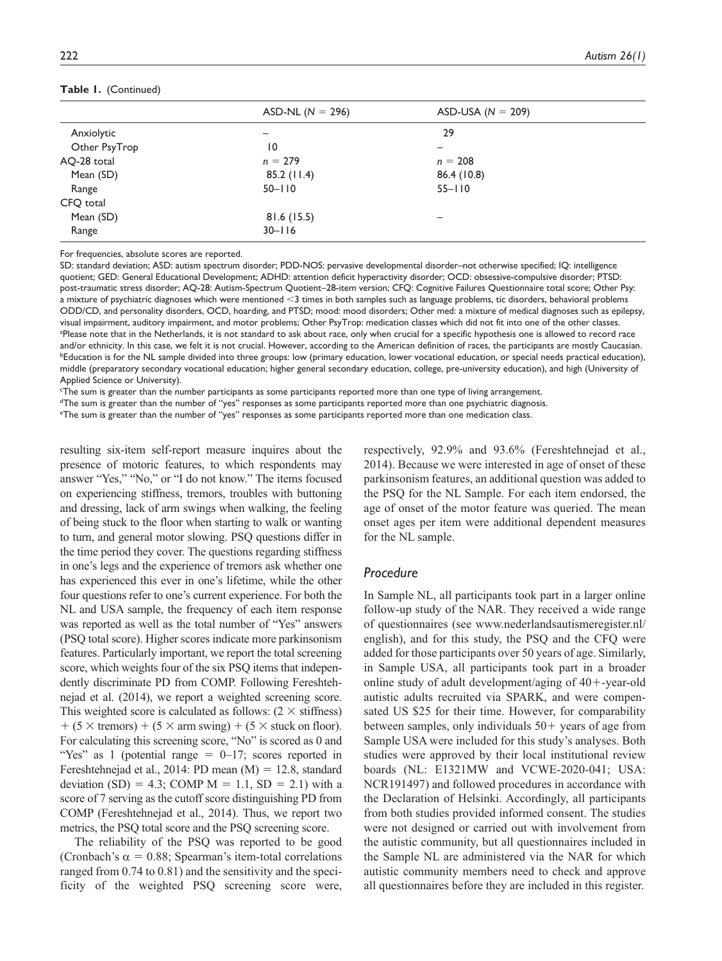#### **Table 1.** (Continued)

|               | ASD-NL ( $N = 296$ ) | ASD-USA ( $N = 209$ ) |  |
|---------------|----------------------|-----------------------|--|
| Anxiolytic    |                      | 29                    |  |
| Other PsyTrop | 10                   | -                     |  |
| AQ-28 total   | $n = 279$            | $n = 208$             |  |
| Mean (SD)     | 85.2(11.4)           | 86.4 (10.8)           |  |
| Range         | $50 - 110$           | $55 - 110$            |  |
| CFQ total     |                      |                       |  |
| Mean (SD)     | 81.6(15.5)           | -                     |  |
| Range         | $30 - 116$           |                       |  |

For frequencies, absolute scores are reported.

SD: standard deviation; ASD: autism spectrum disorder; PDD-NOS: pervasive developmental disorder–not otherwise specified; IQ: intelligence quotient; GED: General Educational Development; ADHD: attention deficit hyperactivity disorder; OCD: obsessive-compulsive disorder; PTSD: post-traumatic stress disorder; AQ-28: Autism-Spectrum Quotient–28-item version; CFQ: Cognitive Failures Questionnaire total score; Other Psy: a mixture of psychiatric diagnoses which were mentioned <3 times in both samples such as language problems, tic disorders, behavioral problems ODD/CD, and personality disorders, OCD, hoarding, and PTSD; mood: mood disorders; Other med: a mixture of medical diagnoses such as epilepsy, visual impairment, auditory impairment, and motor problems; Other PsyTrop: medication classes which did not fit into one of the other classes. a Please note that in the Netherlands, it is not standard to ask about race, only when crucial for a specific hypothesis one is allowed to record race and/or ethnicity. In this case, we felt it is not crucial. However, according to the American definition of races, the participants are mostly Caucasian. **Efducation is for the NL sample divided into three groups: low (primary education, lower vocational education, or special needs practical education),** middle (preparatory secondary vocational education; higher general secondary education, college, pre-university education), and high (University of Applied Science or University).

c The sum is greater than the number participants as some participants reported more than one type of living arrangement.

<sup>d</sup>The sum is greater than the number of "yes" responses as some participants reported more than one psychiatric diagnosis.

e The sum is greater than the number of "yes" responses as some participants reported more than one medication class.

resulting six-item self-report measure inquires about the presence of motoric features, to which respondents may answer "Yes," "No," or "I do not know." The items focused on experiencing stiffness, tremors, troubles with buttoning and dressing, lack of arm swings when walking, the feeling of being stuck to the floor when starting to walk or wanting to turn, and general motor slowing. PSQ questions differ in the time period they cover. The questions regarding stiffness in one's legs and the experience of tremors ask whether one has experienced this ever in one's lifetime, while the other four questions refer to one's current experience. For both the NL and USA sample, the frequency of each item response was reported as well as the total number of "Yes" answers (PSQ total score). Higher scores indicate more parkinsonism features. Particularly important, we report the total screening score, which weights four of the six PSQ items that independently discriminate PD from COMP. Following Fereshtehnejad et al. (2014), we report a weighted screening score. This weighted score is calculated as follows:  $(2 \times \text{stiffness})$  $+$  (5  $\times$  tremors) + (5  $\times$  arm swing) + (5  $\times$  stuck on floor). For calculating this screening score, "No" is scored as 0 and "Yes" as 1 (potential range  $= 0-17$ ; scores reported in Fereshtehnejad et al., 2014: PD mean (M) = 12.8, standard deviation (SD) = 4.3; COMP  $M = 1.1$ , SD = 2.1) with a score of 7 serving as the cutoff score distinguishing PD from COMP (Fereshtehnejad et al., 2014). Thus, we report two metrics, the PSQ total score and the PSQ screening score.

The reliability of the PSQ was reported to be good (Cronbach's  $\alpha = 0.88$ ; Spearman's item-total correlations ranged from 0.74 to 0.81) and the sensitivity and the specificity of the weighted PSQ screening score were,

respectively, 92.9% and 93.6% (Fereshtehnejad et al., 2014). Because we were interested in age of onset of these parkinsonism features, an additional question was added to the PSQ for the NL Sample. For each item endorsed, the age of onset of the motor feature was queried. The mean onset ages per item were additional dependent measures for the NL sample.

#### *Procedure*

In Sample NL, all participants took part in a larger online follow-up study of the NAR. They received a wide range of questionnaires (see [www.nederlandsautismeregister.nl/](www.nederlandsautismeregister.nl/english) [english](www.nederlandsautismeregister.nl/english)), and for this study, the PSQ and the CFQ were added for those participants over 50 years of age. Similarly, in Sample USA, all participants took part in a broader online study of adult development/aging of 40+-year-old autistic adults recruited via SPARK, and were compensated US \$25 for their time. However, for comparability between samples, only individuals  $50+$  years of age from Sample USA were included for this study's analyses. Both studies were approved by their local institutional review boards (NL: E1321MW and VCWE-2020-041; USA: NCR191497) and followed procedures in accordance with the Declaration of Helsinki. Accordingly, all participants from both studies provided informed consent. The studies were not designed or carried out with involvement from the autistic community, but all questionnaires included in the Sample NL are administered via the NAR for which autistic community members need to check and approve all questionnaires before they are included in this register.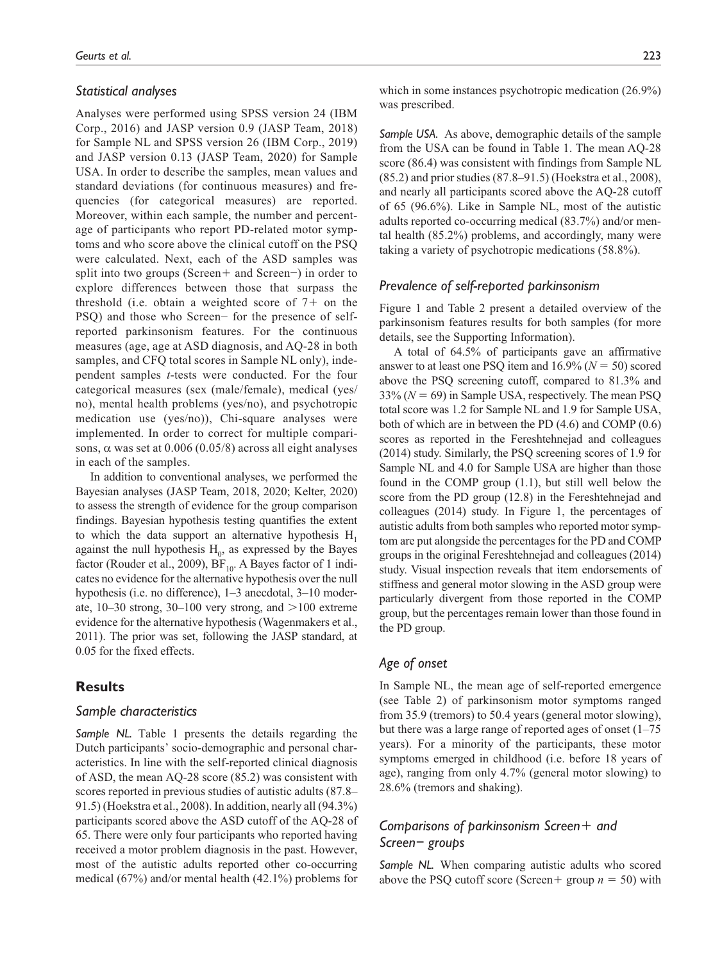#### *Statistical analyses*

Analyses were performed using SPSS version 24 (IBM Corp., 2016) and JASP version 0.9 (JASP Team, 2018) for Sample NL and SPSS version 26 (IBM Corp., 2019) and JASP version 0.13 (JASP Team, 2020) for Sample USA. In order to describe the samples, mean values and standard deviations (for continuous measures) and frequencies (for categorical measures) are reported. Moreover, within each sample, the number and percentage of participants who report PD-related motor symptoms and who score above the clinical cutoff on the PSQ were calculated. Next, each of the ASD samples was split into two groups (Screen+ and Screen−) in order to explore differences between those that surpass the threshold (i.e. obtain a weighted score of  $7+$  on the PSQ) and those who Screen− for the presence of selfreported parkinsonism features. For the continuous measures (age, age at ASD diagnosis, and AQ-28 in both samples, and CFQ total scores in Sample NL only), independent samples *t*-tests were conducted. For the four categorical measures (sex (male/female), medical (yes/ no), mental health problems (yes/no), and psychotropic medication use (yes/no)), Chi-square analyses were implemented. In order to correct for multiple comparisons,  $\alpha$  was set at 0.006 (0.05/8) across all eight analyses in each of the samples.

In addition to conventional analyses, we performed the Bayesian analyses (JASP Team, 2018, 2020; Kelter, 2020) to assess the strength of evidence for the group comparison findings. Bayesian hypothesis testing quantifies the extent to which the data support an alternative hypothesis  $H_1$ against the null hypothesis  $H_0$ , as expressed by the Bayes factor (Rouder et al., 2009),  $BF_{10}$ . A Bayes factor of 1 indicates no evidence for the alternative hypothesis over the null hypothesis (i.e. no difference), 1–3 anecdotal, 3–10 moderate,  $10-30$  strong,  $30-100$  very strong, and  $>100$  extreme evidence for the alternative hypothesis (Wagenmakers et al., 2011). The prior was set, following the JASP standard, at 0.05 for the fixed effects.

# **Results**

#### *Sample characteristics*

*Sample NL.* Table 1 presents the details regarding the Dutch participants' socio-demographic and personal characteristics. In line with the self-reported clinical diagnosis of ASD, the mean AQ-28 score (85.2) was consistent with scores reported in previous studies of autistic adults (87.8– 91.5) (Hoekstra et al., 2008). In addition, nearly all (94.3%) participants scored above the ASD cutoff of the AQ-28 of 65. There were only four participants who reported having received a motor problem diagnosis in the past. However, most of the autistic adults reported other co-occurring medical (67%) and/or mental health (42.1%) problems for

which in some instances psychotropic medication (26.9%) was prescribed.

*Sample USA.* As above, demographic details of the sample from the USA can be found in Table 1. The mean AQ-28 score (86.4) was consistent with findings from Sample NL (85.2) and prior studies (87.8–91.5) (Hoekstra et al., 2008), and nearly all participants scored above the AQ-28 cutoff of 65 (96.6%). Like in Sample NL, most of the autistic adults reported co-occurring medical (83.7%) and/or mental health (85.2%) problems, and accordingly, many were taking a variety of psychotropic medications (58.8%).

## *Prevalence of self-reported parkinsonism*

Figure 1 and Table 2 present a detailed overview of the parkinsonism features results for both samples (for more details, see the Supporting Information).

A total of 64.5% of participants gave an affirmative answer to at least one PSQ item and 16.9% (*N* = 50) scored above the PSQ screening cutoff, compared to 81.3% and 33% (*N* = 69) in Sample USA, respectively. The mean PSQ total score was 1.2 for Sample NL and 1.9 for Sample USA, both of which are in between the PD (4.6) and COMP (0.6) scores as reported in the Fereshtehnejad and colleagues (2014) study. Similarly, the PSQ screening scores of 1.9 for Sample NL and 4.0 for Sample USA are higher than those found in the COMP group (1.1), but still well below the score from the PD group (12.8) in the Fereshtehnejad and colleagues (2014) study. In Figure 1, the percentages of autistic adults from both samples who reported motor symptom are put alongside the percentages for the PD and COMP groups in the original Fereshtehnejad and colleagues (2014) study. Visual inspection reveals that item endorsements of stiffness and general motor slowing in the ASD group were particularly divergent from those reported in the COMP group, but the percentages remain lower than those found in the PD group.

## *Age of onset*

In Sample NL, the mean age of self-reported emergence (see Table 2) of parkinsonism motor symptoms ranged from 35.9 (tremors) to 50.4 years (general motor slowing), but there was a large range of reported ages of onset (1–75 years). For a minority of the participants, these motor symptoms emerged in childhood (i.e. before 18 years of age), ranging from only 4.7% (general motor slowing) to 28.6% (tremors and shaking).

# *Comparisons of parkinsonism Screen*+ *and Screen− groups*

*Sample NL.* When comparing autistic adults who scored above the PSQ cutoff score (Screen+ group  $n = 50$ ) with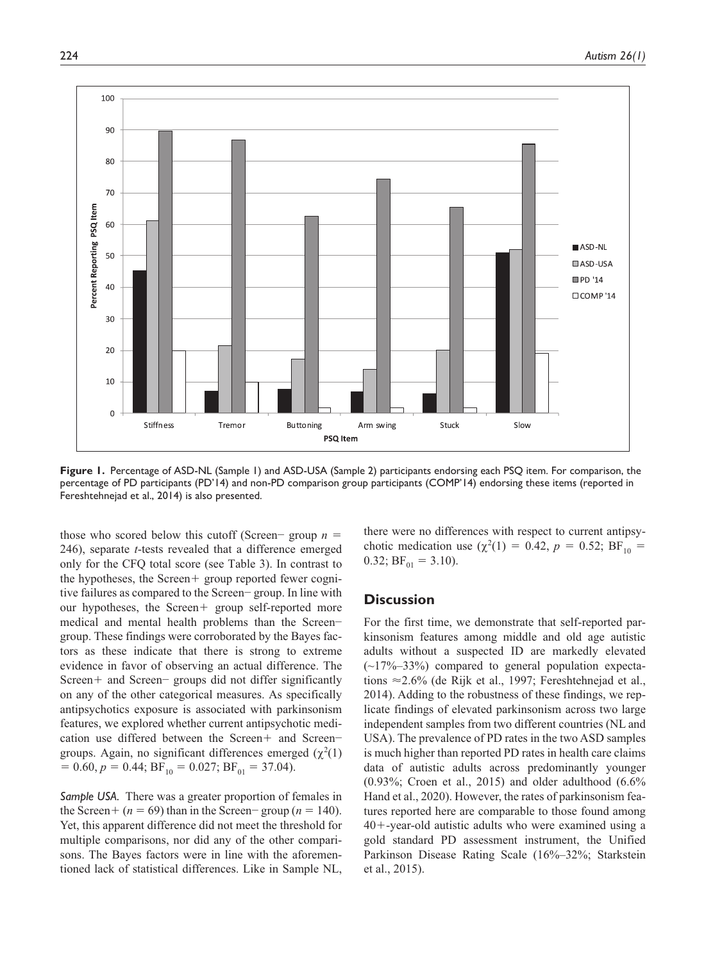

**Figure 1.** Percentage of ASD-NL (Sample 1) and ASD-USA (Sample 2) participants endorsing each PSQ item. For comparison, the percentage of PD participants (PD'14) and non-PD comparison group participants (COMP'14) endorsing these items (reported in Fereshtehnejad et al., 2014) is also presented.

those who scored below this cutoff (Screen− group *n* = 246), separate *t*-tests revealed that a difference emerged only for the CFQ total score (see Table 3). In contrast to the hypotheses, the Screen+ group reported fewer cognitive failures as compared to the Screen− group. In line with our hypotheses, the Screen+ group self-reported more medical and mental health problems than the Screen− group. These findings were corroborated by the Bayes factors as these indicate that there is strong to extreme evidence in favor of observing an actual difference. The Screen+ and Screen− groups did not differ significantly on any of the other categorical measures. As specifically antipsychotics exposure is associated with parkinsonism features, we explored whether current antipsychotic medication use differed between the Screen+ and Screen− groups. Again, no significant differences emerged  $(\chi^2(1))$  $= 0.60, p = 0.44; BF_{10} = 0.027; BF_{01} = 37.04.$ 

*Sample USA.* There was a greater proportion of females in the Screen+ ( $n = 69$ ) than in the Screen− group ( $n = 140$ ). Yet, this apparent difference did not meet the threshold for multiple comparisons, nor did any of the other comparisons. The Bayes factors were in line with the aforementioned lack of statistical differences. Like in Sample NL,

there were no differences with respect to current antipsychotic medication use  $(\chi^2(1) = 0.42, p = 0.52; BF_{10} =$ 0.32;  $BF_{01} = 3.10$ ).

# **Discussion**

For the first time, we demonstrate that self-reported parkinsonism features among middle and old age autistic adults without a suspected ID are markedly elevated  $(-17\%-33\%)$  compared to general population expectations ≈2.6% (de Rijk et al., 1997; Fereshtehnejad et al., 2014). Adding to the robustness of these findings, we replicate findings of elevated parkinsonism across two large independent samples from two different countries (NL and USA). The prevalence of PD rates in the two ASD samples is much higher than reported PD rates in health care claims data of autistic adults across predominantly younger (0.93%; Croen et al., 2015) and older adulthood (6.6% Hand et al., 2020). However, the rates of parkinsonism features reported here are comparable to those found among 40+-year-old autistic adults who were examined using a gold standard PD assessment instrument, the Unified Parkinson Disease Rating Scale (16%–32%; Starkstein et al., 2015).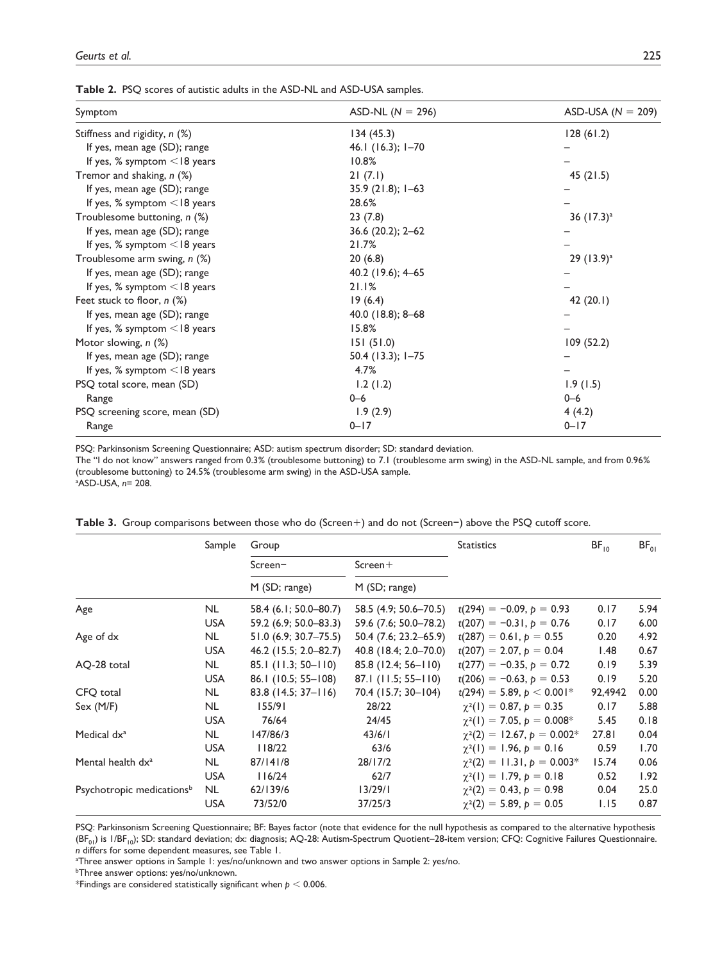| <b>Table 2.</b> PSQ scores of autistic adults in the ASD-NL and ASD-USA samples. |  |
|----------------------------------------------------------------------------------|--|
|----------------------------------------------------------------------------------|--|

| Symptom                           | ASD-NL ( $N = 296$ ) | ASD-USA ( $N = 209$ ) |
|-----------------------------------|----------------------|-----------------------|
| Stiffness and rigidity, n (%)     | 134(45.3)            | 128(61.2)             |
| If yes, mean age (SD); range      | 46.1 (16.3); 1-70    |                       |
| If yes, % symptom $\leq$ 18 years | 10.8%                |                       |
| Tremor and shaking, n (%)         | 21(7.1)              | 45 $(21.5)$           |
| If yes, mean age (SD); range      | $35.9(21.8); 1-63$   |                       |
| If yes, % symptom <18 years       | 28.6%                |                       |
| Troublesome buttoning, n (%)      | 23(7.8)              | 36 $(17.3)^a$         |
| If yes, mean age (SD); range      | $36.6$ (20.2); 2-62  |                       |
| If yes, % symptom $\leq$ 18 years | 21.7%                |                       |
| Troublesome arm swing, n (%)      | 20(6.8)              | $29(13.9)^a$          |
| If yes, mean age (SD); range      | 40.2 (19.6); 4–65    |                       |
| If yes, % symptom $\leq$ 18 years | 21.1%                |                       |
| Feet stuck to floor, $n$ (%)      | 19(6.4)              | 42 $(20.1)$           |
| If yes, mean age (SD); range      | $40.0$ (18.8); 8-68  |                       |
| If yes, % symptom $\leq$ 18 years | 15.8%                |                       |
| Motor slowing, n (%)              | 151(51.0)            | 109(52.2)             |
| If yes, mean age (SD); range      | $50.4$ (13.3); 1-75  |                       |
| If yes, % symptom $\leq$ 18 years | 4.7%                 |                       |
| PSQ total score, mean (SD)        | 1.2(1.2)             | 1.9(1.5)              |
| Range                             | $0 - 6$              | $0 - 6$               |
| PSQ screening score, mean (SD)    | 1.9(2.9)             | 4(4.2)                |
| Range                             | $0 - 17$             | $0 - 17$              |

PSQ: Parkinsonism Screening Questionnaire; ASD: autism spectrum disorder; SD: standard deviation.

The "I do not know" answers ranged from 0.3% (troublesome buttoning) to 7.1 (troublesome arm swing) in the ASD-NL sample, and from 0.96% (troublesome buttoning) to 24.5% (troublesome arm swing) in the ASD-USA sample.

a ASD-USA, *n*= 208.

|  |  |  |  |  |  |  | <b>Table 3.</b> Group comparisons between those who do (Screen $+$ ) and do not (Screen $-$ ) above the PSO cutoff score. |  |
|--|--|--|--|--|--|--|---------------------------------------------------------------------------------------------------------------------------|--|
|--|--|--|--|--|--|--|---------------------------------------------------------------------------------------------------------------------------|--|

|                                       | Sample     | Group                    |                            | <b>Statistics</b>                | BF <sub>10</sub> | $BF_{01}$ |
|---------------------------------------|------------|--------------------------|----------------------------|----------------------------------|------------------|-----------|
|                                       |            | $S$ creen $-$            | $S$ creen $+$              |                                  |                  |           |
|                                       |            | M (SD; range)            | M (SD; range)              |                                  |                  |           |
| Age                                   | NL.        | 58.4 (6.1; 50.0–80.7)    | 58.5 (4.9; 50.6–70.5)      | $t(294) = -0.09, p = 0.93$       | 0.17             | 5.94      |
|                                       | <b>USA</b> | 59.2 (6.9; 50.0–83.3)    | 59.6 (7.6; 50.0–78.2)      | $t(207) = -0.31, p = 0.76$       | 0.17             | 6.00      |
| Age of dx                             | <b>NL</b>  | $51.0(6.9; 30.7 - 75.5)$ | $50.4$ (7.6; 23.2–65.9)    | $t(287) = 0.61, p = 0.55$        | 0.20             | 4.92      |
|                                       | <b>USA</b> | $46.2$ (15.5; 2.0–82.7)  | 40.8 (18.4; $2.0 - 70.0$ ) | $t(207) = 2.07, p = 0.04$        | 1.48             | 0.67      |
| AQ-28 total                           | <b>NL</b>  | $85.1$ (11.3; 50-110)    | $85.8(12.4; 56 - 110)$     | $t(277) = -0.35, p = 0.72$       | 0.19             | 5.39      |
|                                       | <b>USA</b> | 86.1 (10.5; 55-108)      | $87.1$ (11.5; 55-110)      | $t(206) = -0.63$ , $p = 0.53$    | 0.19             | 5.20      |
| CFQ total                             | <b>NL</b>  | $83.8(14.5; 37 - 116)$   | 70.4 (15.7; 30-104)        | $t(294) = 5.89, p < 0.001*$      | 92,4942          | 0.00      |
| Sex (M/F)                             | <b>NL</b>  | 155/91                   | 28/22                      | $\gamma^2(1) = 0.87, p = 0.35$   | 0.17             | 5.88      |
|                                       | <b>USA</b> | 76/64                    | 24/45                      | $\chi^2(1) = 7.05, p = 0.008^*$  | 5.45             | 0.18      |
| Medical dx <sup>a</sup>               | <b>NL</b>  | 147/86/3                 | 43/6/1                     | $\chi^2(2) = 12.67, p = 0.002^*$ | 27.81            | 0.04      |
|                                       | <b>USA</b> | 118/22                   | 63/6                       | $\chi^2(1) = 1.96, p = 0.16$     | 0.59             | 1.70      |
| Mental health dx <sup>a</sup>         | <b>NL</b>  | 87/141/8                 | 28/17/2                    | $\chi^2(2) = 11.31, p = 0.003*$  | 15.74            | 0.06      |
|                                       | <b>USA</b> | 116/24                   | 62/7                       | $\chi^2(1) = 1.79, p = 0.18$     | 0.52             | 1.92      |
| Psychotropic medications <sup>b</sup> | <b>NL</b>  | 62/139/6                 | 13/29/1                    | $\chi^2(2) = 0.43, p = 0.98$     | 0.04             | 25.0      |
|                                       | <b>USA</b> | 73/52/0                  | 37/25/3                    | $\chi^2(2) = 5.89, p = 0.05$     | 1.15             | 0.87      |

PSQ: Parkinsonism Screening Questionnaire; BF: Bayes factor (note that evidence for the null hypothesis as compared to the alternative hypothesis (BF<sub>01</sub>) is 1/BF<sub>10</sub>); SD: standard deviation; dx: diagnosis; AQ-28: Autism-Spectrum Quotient–28-item version; CFQ: Cognitive Failures Questionnaire. *n* differs for some dependent measures, see Table 1.

a Three answer options in Sample 1: yes/no/unknown and two answer options in Sample 2: yes/no.

b Three answer options: yes/no/unknown.

\*Findings are considered statistically significant when *p* < 0.006.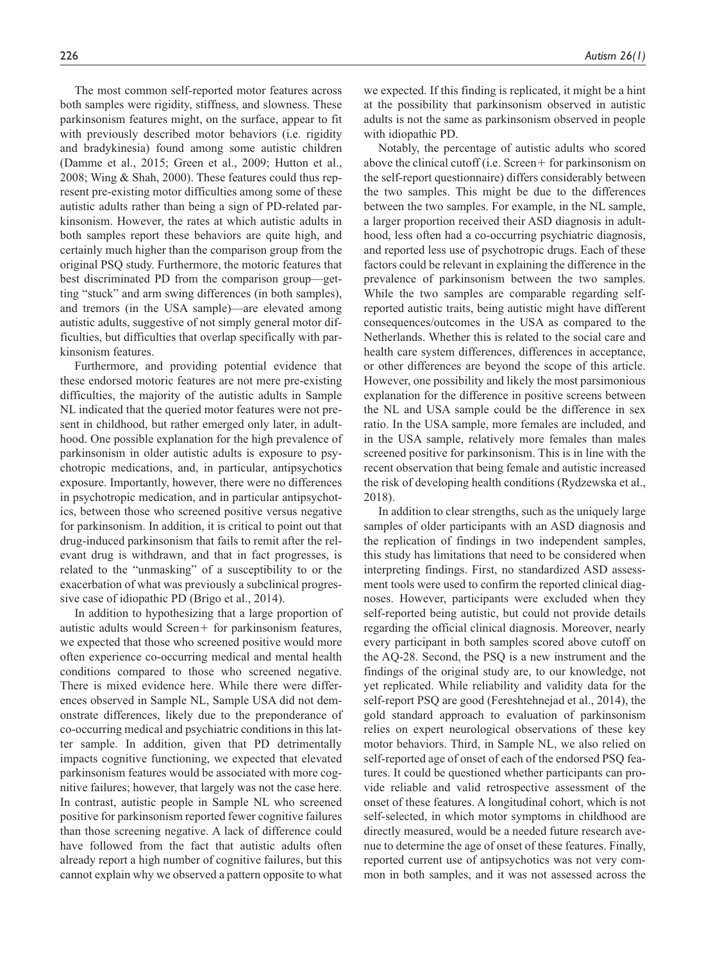The most common self-reported motor features across both samples were rigidity, stiffness, and slowness. These parkinsonism features might, on the surface, appear to fit with previously described motor behaviors (i.e. rigidity and bradykinesia) found among some autistic children (Damme et al., 2015; Green et al., 2009; Hutton et al., 2008; Wing & Shah, 2000). These features could thus represent pre-existing motor difficulties among some of these autistic adults rather than being a sign of PD-related parkinsonism. However, the rates at which autistic adults in both samples report these behaviors are quite high, and certainly much higher than the comparison group from the original PSQ study. Furthermore, the motoric features that best discriminated PD from the comparison group—getting "stuck" and arm swing differences (in both samples), and tremors (in the USA sample)—are elevated among autistic adults, suggestive of not simply general motor difficulties, but difficulties that overlap specifically with parkinsonism features.

Furthermore, and providing potential evidence that these endorsed motoric features are not mere pre-existing difficulties, the majority of the autistic adults in Sample NL indicated that the queried motor features were not present in childhood, but rather emerged only later, in adulthood. One possible explanation for the high prevalence of parkinsonism in older autistic adults is exposure to psychotropic medications, and, in particular, antipsychotics exposure. Importantly, however, there were no differences in psychotropic medication, and in particular antipsychotics, between those who screened positive versus negative for parkinsonism. In addition, it is critical to point out that drug-induced parkinsonism that fails to remit after the relevant drug is withdrawn, and that in fact progresses, is related to the "unmasking" of a susceptibility to or the exacerbation of what was previously a subclinical progressive case of idiopathic PD (Brigo et al., 2014).

In addition to hypothesizing that a large proportion of autistic adults would Screen+ for parkinsonism features, we expected that those who screened positive would more often experience co-occurring medical and mental health conditions compared to those who screened negative. There is mixed evidence here. While there were differences observed in Sample NL, Sample USA did not demonstrate differences, likely due to the preponderance of co-occurring medical and psychiatric conditions in this latter sample. In addition, given that PD detrimentally impacts cognitive functioning, we expected that elevated parkinsonism features would be associated with more cognitive failures; however, that largely was not the case here. In contrast, autistic people in Sample NL who screened positive for parkinsonism reported fewer cognitive failures than those screening negative. A lack of difference could have followed from the fact that autistic adults often already report a high number of cognitive failures, but this cannot explain why we observed a pattern opposite to what

we expected. If this finding is replicated, it might be a hint at the possibility that parkinsonism observed in autistic adults is not the same as parkinsonism observed in people

with idiopathic PD.

Notably, the percentage of autistic adults who scored above the clinical cutoff (i.e. Screen+ for parkinsonism on the self-report questionnaire) differs considerably between the two samples. This might be due to the differences between the two samples. For example, in the NL sample, a larger proportion received their ASD diagnosis in adulthood, less often had a co-occurring psychiatric diagnosis, and reported less use of psychotropic drugs. Each of these factors could be relevant in explaining the difference in the prevalence of parkinsonism between the two samples. While the two samples are comparable regarding selfreported autistic traits, being autistic might have different consequences/outcomes in the USA as compared to the Netherlands. Whether this is related to the social care and health care system differences, differences in acceptance, or other differences are beyond the scope of this article. However, one possibility and likely the most parsimonious explanation for the difference in positive screens between the NL and USA sample could be the difference in sex ratio. In the USA sample, more females are included, and in the USA sample, relatively more females than males screened positive for parkinsonism. This is in line with the recent observation that being female and autistic increased the risk of developing health conditions (Rydzewska et al., 2018).

In addition to clear strengths, such as the uniquely large samples of older participants with an ASD diagnosis and the replication of findings in two independent samples, this study has limitations that need to be considered when interpreting findings. First, no standardized ASD assessment tools were used to confirm the reported clinical diagnoses. However, participants were excluded when they self-reported being autistic, but could not provide details regarding the official clinical diagnosis. Moreover, nearly every participant in both samples scored above cutoff on the AQ-28. Second, the PSQ is a new instrument and the findings of the original study are, to our knowledge, not yet replicated. While reliability and validity data for the self-report PSQ are good (Fereshtehnejad et al., 2014), the gold standard approach to evaluation of parkinsonism relies on expert neurological observations of these key motor behaviors. Third, in Sample NL, we also relied on self-reported age of onset of each of the endorsed PSQ features. It could be questioned whether participants can provide reliable and valid retrospective assessment of the onset of these features. A longitudinal cohort, which is not self-selected, in which motor symptoms in childhood are directly measured, would be a needed future research avenue to determine the age of onset of these features. Finally, reported current use of antipsychotics was not very common in both samples, and it was not assessed across the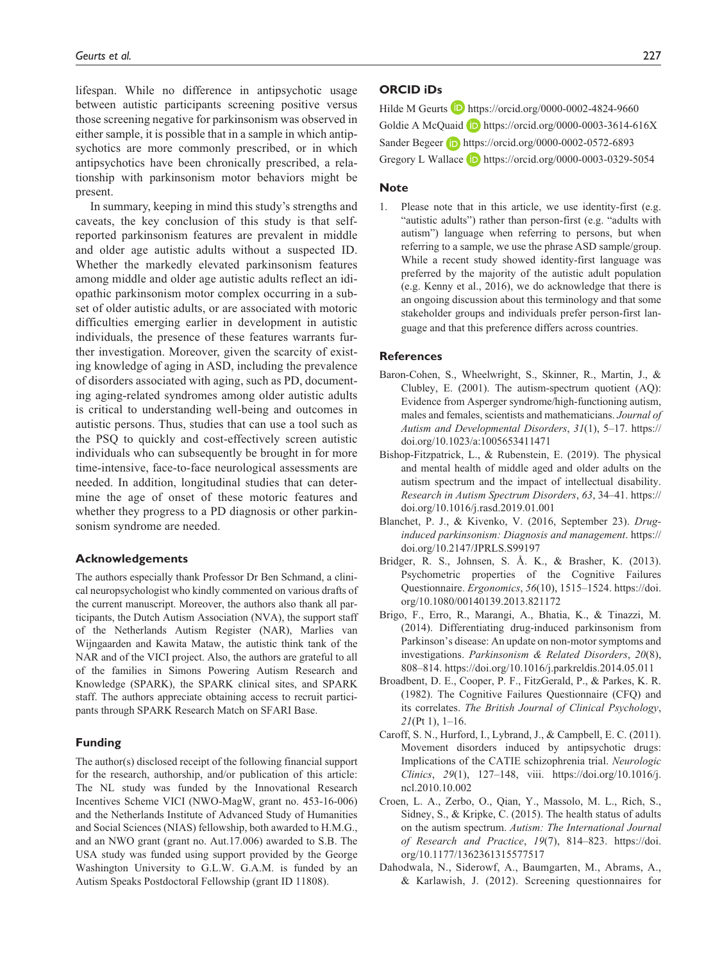lifespan. While no difference in antipsychotic usage between autistic participants screening positive versus those screening negative for parkinsonism was observed in either sample, it is possible that in a sample in which antipsychotics are more commonly prescribed, or in which antipsychotics have been chronically prescribed, a relationship with parkinsonism motor behaviors might be present.

In summary, keeping in mind this study's strengths and caveats, the key conclusion of this study is that selfreported parkinsonism features are prevalent in middle and older age autistic adults without a suspected ID. Whether the markedly elevated parkinsonism features among middle and older age autistic adults reflect an idiopathic parkinsonism motor complex occurring in a subset of older autistic adults, or are associated with motoric difficulties emerging earlier in development in autistic individuals, the presence of these features warrants further investigation. Moreover, given the scarcity of existing knowledge of aging in ASD, including the prevalence of disorders associated with aging, such as PD, documenting aging-related syndromes among older autistic adults is critical to understanding well-being and outcomes in autistic persons. Thus, studies that can use a tool such as the PSQ to quickly and cost-effectively screen autistic individuals who can subsequently be brought in for more time-intensive, face-to-face neurological assessments are needed. In addition, longitudinal studies that can determine the age of onset of these motoric features and whether they progress to a PD diagnosis or other parkinsonism syndrome are needed.

#### **Acknowledgements**

The authors especially thank Professor Dr Ben Schmand, a clinical neuropsychologist who kindly commented on various drafts of the current manuscript. Moreover, the authors also thank all participants, the Dutch Autism Association (NVA), the support staff of the Netherlands Autism Register (NAR), Marlies van Wijngaarden and Kawita Mataw, the autistic think tank of the NAR and of the VICI project. Also, the authors are grateful to all of the families in Simons Powering Autism Research and Knowledge (SPARK), the SPARK clinical sites, and SPARK staff. The authors appreciate obtaining access to recruit participants through SPARK Research Match on SFARI Base.

#### **Funding**

The author(s) disclosed receipt of the following financial support for the research, authorship, and/or publication of this article: The NL study was funded by the Innovational Research Incentives Scheme VICI (NWO-MagW, grant no. 453-16-006) and the Netherlands Institute of Advanced Study of Humanities and Social Sciences (NIAS) fellowship, both awarded to H.M.G., and an NWO grant (grant no. Aut.17.006) awarded to S.B. The USA study was funded using support provided by the George Washington University to G.L.W. G.A.M. is funded by an Autism Speaks Postdoctoral Fellowship (grant ID 11808).

#### **ORCID iDs**

Hilde M Geurts  $\Box$  <https://orcid.org/0000-0002-4824-9660> Goldie A McQuaid  $\Box$  <https://orcid.org/0000-0003-3614-616X> Sander Begeer **b** <https://orcid.org/0000-0002-0572-6893> Gregory L Wallace **D** <https://orcid.org/0000-0003-0329-5054>

#### **Note**

1. Please note that in this article, we use identity-first (e.g. "autistic adults") rather than person-first (e.g. "adults with autism") language when referring to persons, but when referring to a sample, we use the phrase ASD sample/group. While a recent study showed identity-first language was preferred by the majority of the autistic adult population (e.g. Kenny et al., 2016), we do acknowledge that there is an ongoing discussion about this terminology and that some stakeholder groups and individuals prefer person-first language and that this preference differs across countries.

#### **References**

- Baron-Cohen, S., Wheelwright, S., Skinner, R., Martin, J., & Clubley, E. (2001). The autism-spectrum quotient (AQ): Evidence from Asperger syndrome/high-functioning autism, males and females, scientists and mathematicians. *Journal of Autism and Developmental Disorders*, *31*(1), 5–17. [https://](https://doi.org/10.1023/a:1005653411471) [doi.org/10.1023/a:1005653411471](https://doi.org/10.1023/a:1005653411471)
- Bishop-Fitzpatrick, L., & Rubenstein, E. (2019). The physical and mental health of middle aged and older adults on the autism spectrum and the impact of intellectual disability. *Research in Autism Spectrum Disorders*, *63*, 34–41. [https://](https://doi.org/10.1016/j.rasd.2019.01.001) [doi.org/10.1016/j.rasd.2019.01.001](https://doi.org/10.1016/j.rasd.2019.01.001)
- Blanchet, P. J., & Kivenko, V. (2016, September 23). *Druginduced parkinsonism: Diagnosis and management*. [https://](https://doi.org/10.2147/JPRLS.S99197) [doi.org/10.2147/JPRLS.S99197](https://doi.org/10.2147/JPRLS.S99197)
- Bridger, R. S., Johnsen, S. Å. K., & Brasher, K. (2013). Psychometric properties of the Cognitive Failures Questionnaire. *Ergonomics*, *56*(10), 1515–1524. [https://doi.](https://doi.org/10.1080/00140139.2013.821172) [org/10.1080/00140139.2013.821172](https://doi.org/10.1080/00140139.2013.821172)
- Brigo, F., Erro, R., Marangi, A., Bhatia, K., & Tinazzi, M. (2014). Differentiating drug-induced parkinsonism from Parkinson's disease: An update on non-motor symptoms and investigations. *Parkinsonism & Related Disorders*, *20*(8), 808–814.<https://doi.org/10.1016/j.parkreldis.2014.05.011>
- Broadbent, D. E., Cooper, P. F., FitzGerald, P., & Parkes, K. R. (1982). The Cognitive Failures Questionnaire (CFQ) and its correlates. *The British Journal of Clinical Psychology*, *21*(Pt 1), 1–16.
- Caroff, S. N., Hurford, I., Lybrand, J., & Campbell, E. C. (2011). Movement disorders induced by antipsychotic drugs: Implications of the CATIE schizophrenia trial. *Neurologic Clinics*, *29*(1), 127–148, viii. [https://doi.org/10.1016/j.](https://doi.org/10.1016/j.ncl.2010.10.002) [ncl.2010.10.002](https://doi.org/10.1016/j.ncl.2010.10.002)
- Croen, L. A., Zerbo, O., Qian, Y., Massolo, M. L., Rich, S., Sidney, S., & Kripke, C. (2015). The health status of adults on the autism spectrum. *Autism: The International Journal of Research and Practice*, *19*(7), 814–823. [https://doi.](https://doi.org/10.1177/1362361315577517) [org/10.1177/1362361315577517](https://doi.org/10.1177/1362361315577517)
- Dahodwala, N., Siderowf, A., Baumgarten, M., Abrams, A., & Karlawish, J. (2012). Screening questionnaires for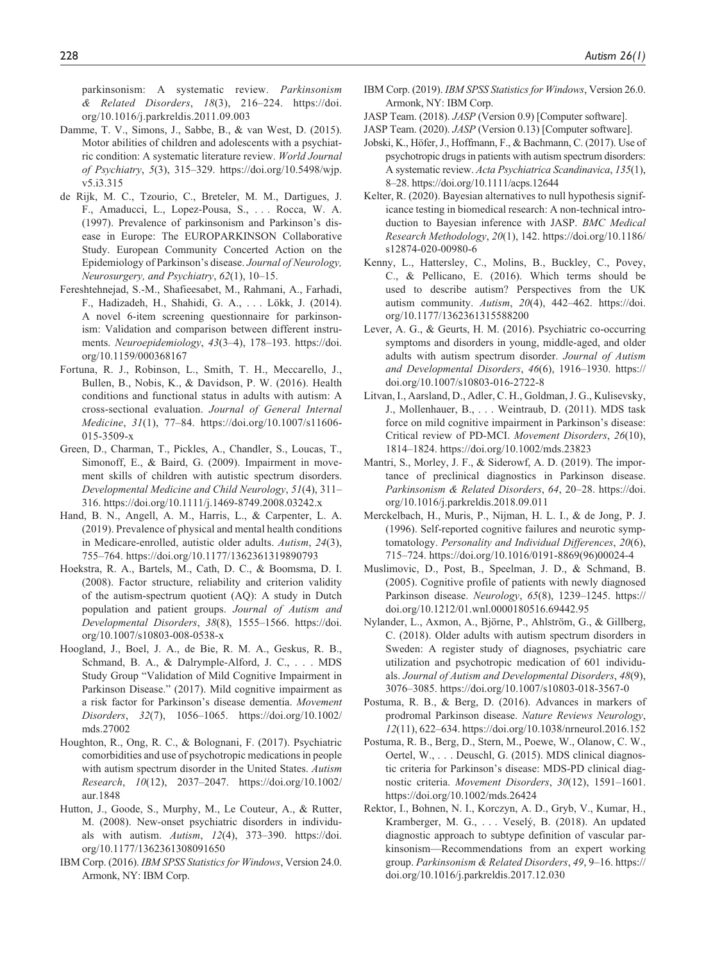parkinsonism: A systematic review. *Parkinsonism & Related Disorders*, *18*(3), 216–224. [https://doi.](https://doi.org/10.1016/j.parkreldis.2011.09.003) [org/10.1016/j.parkreldis.2011.09.003](https://doi.org/10.1016/j.parkreldis.2011.09.003)

- Damme, T. V., Simons, J., Sabbe, B., & van West, D. (2015). Motor abilities of children and adolescents with a psychiatric condition: A systematic literature review. *World Journal of Psychiatry*, *5*(3), 315–329. [https://doi.org/10.5498/wjp.](https://doi.org/10.5498/wjp.v5.i3.315) [v5.i3.315](https://doi.org/10.5498/wjp.v5.i3.315)
- de Rijk, M. C., Tzourio, C., Breteler, M. M., Dartigues, J. F., Amaducci, L., Lopez-Pousa, S., . . . Rocca, W. A. (1997). Prevalence of parkinsonism and Parkinson's disease in Europe: The EUROPARKINSON Collaborative Study. European Community Concerted Action on the Epidemiology of Parkinson's disease. *Journal of Neurology, Neurosurgery, and Psychiatry*, *62*(1), 10–15.
- Fereshtehnejad, S.-M., Shafieesabet, M., Rahmani, A., Farhadi, F., Hadizadeh, H., Shahidi, G. A., . . . Lökk, J. (2014). A novel 6-item screening questionnaire for parkinsonism: Validation and comparison between different instruments. *Neuroepidemiology*, *43*(3–4), 178–193. [https://doi.](https://doi.org/10.1159/000368167) [org/10.1159/000368167](https://doi.org/10.1159/000368167)
- Fortuna, R. J., Robinson, L., Smith, T. H., Meccarello, J., Bullen, B., Nobis, K., & Davidson, P. W. (2016). Health conditions and functional status in adults with autism: A cross-sectional evaluation. *Journal of General Internal Medicine*, *31*(1), 77–84. [https://doi.org/10.1007/s11606-](https://doi.org/10.1007/s11606-015-3509-x) [015-3509-x](https://doi.org/10.1007/s11606-015-3509-x)
- Green, D., Charman, T., Pickles, A., Chandler, S., Loucas, T., Simonoff, E., & Baird, G. (2009). Impairment in movement skills of children with autistic spectrum disorders. *Developmental Medicine and Child Neurology*, *51*(4), 311– 316. <https://doi.org/10.1111/j.1469-8749.2008.03242.x>
- Hand, B. N., Angell, A. M., Harris, L., & Carpenter, L. A. (2019). Prevalence of physical and mental health conditions in Medicare-enrolled, autistic older adults. *Autism*, *24*(3), 755–764. <https://doi.org/10.1177/1362361319890793>
- Hoekstra, R. A., Bartels, M., Cath, D. C., & Boomsma, D. I. (2008). Factor structure, reliability and criterion validity of the autism-spectrum quotient (AQ): A study in Dutch population and patient groups. *Journal of Autism and Developmental Disorders*, *38*(8), 1555–1566. [https://doi.](https://doi.org/10.1007/s10803-008-0538-x) [org/10.1007/s10803-008-0538-x](https://doi.org/10.1007/s10803-008-0538-x)
- Hoogland, J., Boel, J. A., de Bie, R. M. A., Geskus, R. B., Schmand, B. A., & Dalrymple-Alford, J. C., . . . MDS Study Group "Validation of Mild Cognitive Impairment in Parkinson Disease." (2017). Mild cognitive impairment as a risk factor for Parkinson's disease dementia. *Movement Disorders*, *32*(7), 1056–1065. [https://doi.org/10.1002/](https://doi.org/10.1002/mds.27002) [mds.27002](https://doi.org/10.1002/mds.27002)
- Houghton, R., Ong, R. C., & Bolognani, F. (2017). Psychiatric comorbidities and use of psychotropic medications in people with autism spectrum disorder in the United States. *Autism Research*, *10*(12), 2037–2047. [https://doi.org/10.1002/](https://doi.org/10.1002/aur.1848) [aur.1848](https://doi.org/10.1002/aur.1848)
- Hutton, J., Goode, S., Murphy, M., Le Couteur, A., & Rutter, M. (2008). New-onset psychiatric disorders in individuals with autism. *Autism*, *12*(4), 373–390. [https://doi.](https://doi.org/10.1177/1362361308091650) [org/10.1177/1362361308091650](https://doi.org/10.1177/1362361308091650)
- IBM Corp. (2016). *IBM SPSS Statistics for Windows*, Version 24.0. Armonk, NY: IBM Corp.
- IBM Corp. (2019). *IBM SPSS Statistics for Windows*, Version 26.0. Armonk, NY: IBM Corp.
- JASP Team. (2018). *JASP* (Version 0.9) [Computer software].
- JASP Team. (2020). *JASP* (Version 0.13) [Computer software].
- Jobski, K., Höfer, J., Hoffmann, F., & Bachmann, C. (2017). Use of psychotropic drugs in patients with autism spectrum disorders: A systematic review. *Acta Psychiatrica Scandinavica*, *135*(1), 8–28.<https://doi.org/10.1111/acps.12644>
- Kelter, R. (2020). Bayesian alternatives to null hypothesis significance testing in biomedical research: A non-technical introduction to Bayesian inference with JASP. *BMC Medical Research Methodology*, *20*(1), 142. https://doi.org/10.1186/ s12874-020-00980-6
- Kenny, L., Hattersley, C., Molins, B., Buckley, C., Povey, C., & Pellicano, E. (2016). Which terms should be used to describe autism? Perspectives from the UK autism community. *Autism*, *20*(4), 442–462. [https://doi.](https://doi.org/10.1177/1362361315588200) [org/10.1177/1362361315588200](https://doi.org/10.1177/1362361315588200)
- Lever, A. G., & Geurts, H. M. (2016). Psychiatric co-occurring symptoms and disorders in young, middle-aged, and older adults with autism spectrum disorder. *Journal of Autism and Developmental Disorders*, *46*(6), 1916–1930. [https://](https://doi.org/10.1007/s10803-016-2722-8) [doi.org/10.1007/s10803-016-2722-8](https://doi.org/10.1007/s10803-016-2722-8)
- Litvan, I., Aarsland, D., Adler, C. H., Goldman, J. G., Kulisevsky, J., Mollenhauer, B., . . . Weintraub, D. (2011). MDS task force on mild cognitive impairment in Parkinson's disease: Critical review of PD-MCI. *Movement Disorders*, *26*(10), 1814–1824.<https://doi.org/10.1002/mds.23823>
- Mantri, S., Morley, J. F., & Siderowf, A. D. (2019). The importance of preclinical diagnostics in Parkinson disease. *Parkinsonism & Related Disorders*, *64*, 20–28. [https://doi.](https://doi.org/10.1016/j.parkreldis.2018.09.011) [org/10.1016/j.parkreldis.2018.09.011](https://doi.org/10.1016/j.parkreldis.2018.09.011)
- Merckelbach, H., Muris, P., Nijman, H. L. I., & de Jong, P. J. (1996). Self-reported cognitive failures and neurotic symptomatology. *Personality and Individual Differences*, *20*(6), 715–724. [https://doi.org/10.1016/0191-8869\(96\)00024-4](https://doi.org/10.1016/0191-8869(96)00024-4)
- Muslimovic, D., Post, B., Speelman, J. D., & Schmand, B. (2005). Cognitive profile of patients with newly diagnosed Parkinson disease. *Neurology*, *65*(8), 1239–1245. [https://](https://doi.org/10.1212/01.wnl.0000180516.69442.95) [doi.org/10.1212/01.wnl.0000180516.69442.95](https://doi.org/10.1212/01.wnl.0000180516.69442.95)
- Nylander, L., Axmon, A., Björne, P., Ahlström, G., & Gillberg, C. (2018). Older adults with autism spectrum disorders in Sweden: A register study of diagnoses, psychiatric care utilization and psychotropic medication of 601 individuals. *Journal of Autism and Developmental Disorders*, *48*(9), 3076–3085.<https://doi.org/10.1007/s10803-018-3567-0>
- Postuma, R. B., & Berg, D. (2016). Advances in markers of prodromal Parkinson disease. *Nature Reviews Neurology*, *12*(11), 622–634.<https://doi.org/10.1038/nrneurol.2016.152>
- Postuma, R. B., Berg, D., Stern, M., Poewe, W., Olanow, C. W., Oertel, W., . . . Deuschl, G. (2015). MDS clinical diagnostic criteria for Parkinson's disease: MDS-PD clinical diagnostic criteria. *Movement Disorders*, *30*(12), 1591–1601. <https://doi.org/10.1002/mds.26424>
- Rektor, I., Bohnen, N. I., Korczyn, A. D., Gryb, V., Kumar, H., Kramberger, M. G., . . . Veselý, B. (2018). An updated diagnostic approach to subtype definition of vascular parkinsonism—Recommendations from an expert working group. *Parkinsonism & Related Disorders*, *49*, 9–16. [https://](https://doi.org/10.1016/j.parkreldis.2017.12.030) [doi.org/10.1016/j.parkreldis.2017.12.030](https://doi.org/10.1016/j.parkreldis.2017.12.030)